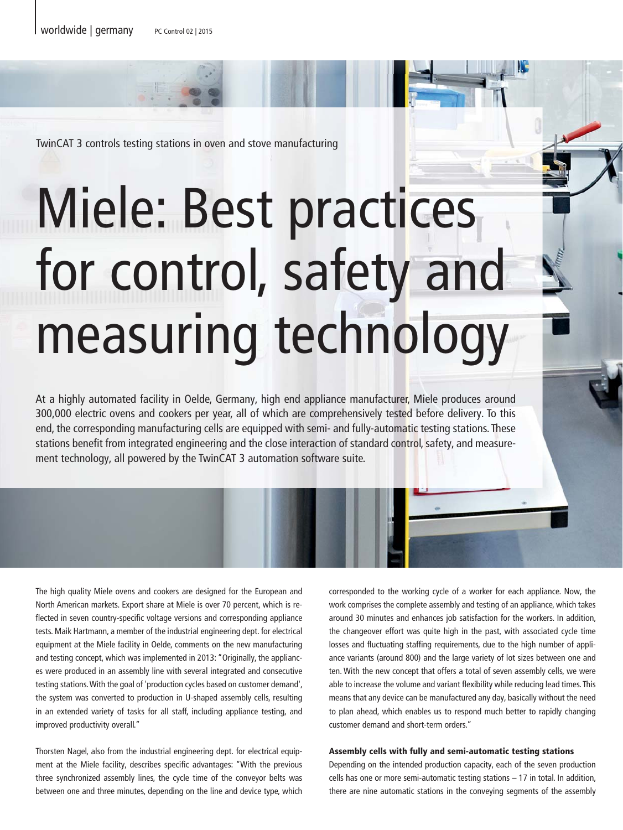TwinCAT 3 controls testing stations in oven and stove manufacturing

# Miele: Best practices for control, safety and measuring technology

At a highly automated facility in Oelde, Germany, high end appliance manufacturer, Miele produces around 300,000 electric ovens and cookers per year, all of which are comprehensively tested before delivery. To this end, the corresponding manufacturing cells are equipped with semi- and fully-automatic testing stations. These stations benefit from integrated engineering and the close interaction of standard control, safety, and measurement technology, all powered by the TwinCAT 3 automation software suite.

The high quality Miele ovens and cookers are designed for the European and North American markets. Export share at Miele is over 70 percent, which is reflected in seven country-specific voltage versions and corresponding appliance tests. Maik Hartmann, a member of the industrial engineering dept. for electrical equipment at the Miele facility in Oelde, comments on the new manufacturing and testing concept, which was implemented in 2013: "Originally, the appliances were produced in an assembly line with several integrated and consecutive testing stations. With the goal of 'production cycles based on customer demand', the system was converted to production in U-shaped assembly cells, resulting in an extended variety of tasks for all staff, including appliance testing, and improved productivity overall."

Thorsten Nagel, also from the industrial engineering dept. for electrical equipment at the Miele facility, describes specific advantages: "With the previous three synchronized assembly lines, the cycle time of the conveyor belts was between one and three minutes, depending on the line and device type, which corresponded to the working cycle of a worker for each appliance. Now, the work comprises the complete assembly and testing of an appliance, which takes around 30 minutes and enhances job satisfaction for the workers. In addition, the changeover effort was quite high in the past, with associated cycle time losses and fluctuating staffing requirements, due to the high number of appliance variants (around 800) and the large variety of lot sizes between one and ten. With the new concept that offers a total of seven assembly cells, we were able to increase the volume and variant flexibility while reducing lead times. This means that any device can be manufactured any day, basically without the need to plan ahead, which enables us to respond much better to rapidly changing customer demand and short-term orders."

#### Assembly cells with fully and semi-automatic testing stations

Depending on the intended production capacity, each of the seven production cells has one or more semi-automatic testing stations – 17 in total. In addition, there are nine automatic stations in the conveying segments of the assembly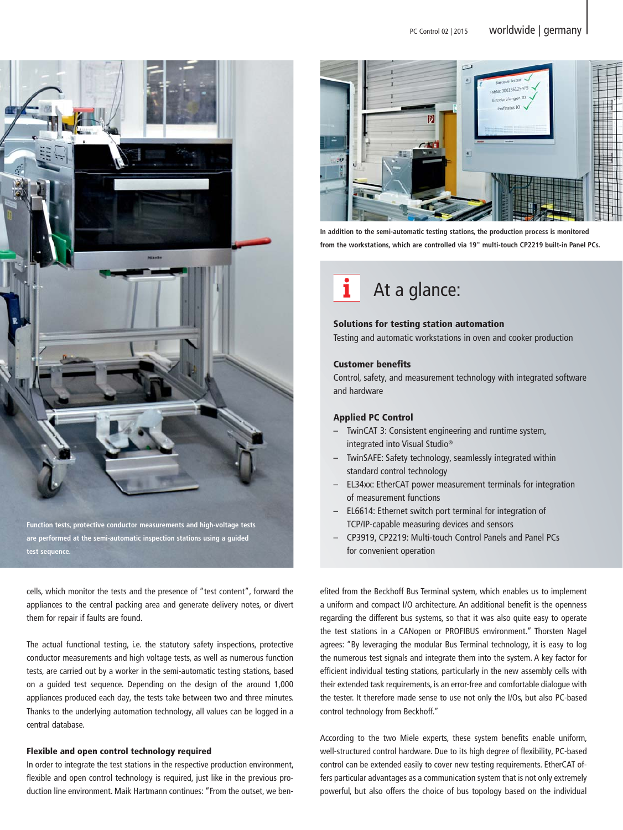

cells, which monitor the tests and the presence of "test content", forward the appliances to the central packing area and generate delivery notes, or divert

The actual functional testing, i.e. the statutory safety inspections, protective conductor measurements and high voltage tests, as well as numerous function tests, are carried out by a worker in the semi-automatic testing stations, based on a guided test sequence. Depending on the design of the around 1,000 appliances produced each day, the tests take between two and three minutes. Thanks to the underlying automation technology, all values can be logged in a central database.

#### Flexible and open control technology required

them for repair if faults are found.

In order to integrate the test stations in the respective production environment, flexible and open control technology is required, just like in the previous production line environment. Maik Hartmann continues: "From the outset, we ben-



**In addition to the semi-automatic testing stations, the production process is monitored from the workstations, which are controlled via 19" multi-touch CP2219 built-in Panel PCs.**

# i At a glance:

#### Solutions for testing station automation

Testing and automatic workstations in oven and cooker production

## Customer benefits

Control, safety, and measurement technology with integrated software and hardware

#### Applied PC Control

- TwinCAT 3: Consistent engineering and runtime system, integrated into Visual Studio®
- TwinSAFE: Safety technology, seamlessly integrated within standard control technology
- EL34xx: EtherCAT power measurement terminals for integration of measurement functions
- EL6614: Ethernet switch port terminal for integration of TCP/IP-capable measuring devices and sensors
- CP3919, CP2219: Multi-touch Control Panels and Panel PCs for convenient operation

efited from the Beckhoff Bus Terminal system, which enables us to implement a uniform and compact I/O architecture. An additional benefit is the openness regarding the different bus systems, so that it was also quite easy to operate the test stations in a CANopen or PROFIBUS environment." Thorsten Nagel agrees: "By leveraging the modular Bus Terminal technology, it is easy to log the numerous test signals and integrate them into the system. A key factor for efficient individual testing stations, particularly in the new assembly cells with their extended task requirements, is an error-free and comfortable dialogue with the tester. It therefore made sense to use not only the I/Os, but also PC-based control technology from Beckhoff."

According to the two Miele experts, these system benefits enable uniform, well-structured control hardware. Due to its high degree of flexibility, PC-based control can be extended easily to cover new testing requirements. EtherCAT offers particular advantages as a communication system that is not only extremely powerful, but also offers the choice of bus topology based on the individual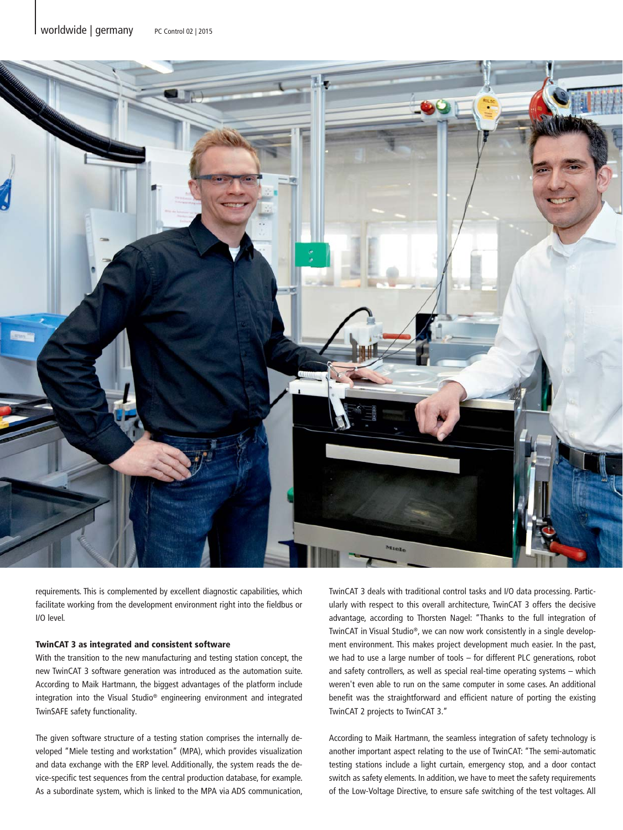

requirements. This is complemented by excellent diagnostic capabilities, which facilitate working from the development environment right into the fieldbus or I/O level.

#### TwinCAT 3 as integrated and consistent software

With the transition to the new manufacturing and testing station concept, the new TwinCAT 3 software generation was introduced as the automation suite. According to Maik Hartmann, the biggest advantages of the platform include integration into the Visual Studio® engineering environment and integrated TwinSAFE safety functionality.

The given software structure of a testing station comprises the internally developed "Miele testing and workstation" (MPA), which provides visualization and data exchange with the ERP level. Additionally, the system reads the device-specific test sequences from the central production database, for example. As a subordinate system, which is linked to the MPA via ADS communication,

TwinCAT 3 deals with traditional control tasks and I/O data processing. Particularly with respect to this overall architecture, TwinCAT 3 offers the decisive advantage, according to Thorsten Nagel: "Thanks to the full integration of TwinCAT in Visual Studio®, we can now work consistently in a single development environment. This makes project development much easier. In the past, we had to use a large number of tools – for different PLC generations, robot and safety controllers, as well as special real-time operating systems – which weren't even able to run on the same computer in some cases. An additional benefit was the straightforward and efficient nature of porting the existing TwinCAT 2 projects to TwinCAT 3."

According to Maik Hartmann, the seamless integration of safety technology is another important aspect relating to the use of TwinCAT: "The semi-automatic testing stations include a light curtain, emergency stop, and a door contact switch as safety elements. In addition, we have to meet the safety requirements of the Low-Voltage Directive, to ensure safe switching of the test voltages. All